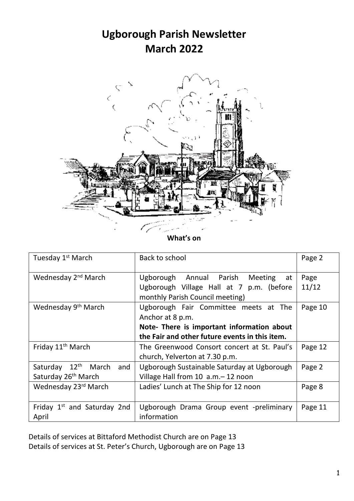# **Ugborough Parish Newsletter March 2022**



**What's on**

| Tuesday 1 <sup>st</sup> March                                 | Back to school                                                                                                                                            | Page 2        |
|---------------------------------------------------------------|-----------------------------------------------------------------------------------------------------------------------------------------------------------|---------------|
| Wednesday 2 <sup>nd</sup> March                               | Ugborough Annual Parish Meeting<br>at<br>Ugborough Village Hall at 7 p.m. (before<br>monthly Parish Council meeting)                                      | Page<br>11/12 |
| Wednesday 9 <sup>th</sup> March                               | Ugborough Fair Committee meets at The<br>Anchor at 8 p.m.<br>Note- There is important information about<br>the Fair and other future events in this item. | Page 10       |
| Friday 11 <sup>th</sup> March                                 | The Greenwood Consort concert at St. Paul's<br>church, Yelverton at 7.30 p.m.                                                                             | Page 12       |
| Saturday 12th March<br>and<br>Saturday 26 <sup>th</sup> March | Ugborough Sustainable Saturday at Ugborough<br>Village Hall from 10 a.m. - 12 noon                                                                        | Page 2        |
| Wednesday 23rd March                                          | Ladies' Lunch at The Ship for 12 noon                                                                                                                     | Page 8        |
| Friday 1 <sup>st</sup> and Saturday 2nd<br>April              | Ugborough Drama Group event -preliminary<br>information                                                                                                   | Page 11       |

Details of services at Bittaford Methodist Church are on Page 13 Details of services at St. Peter's Church, Ugborough are on Page 13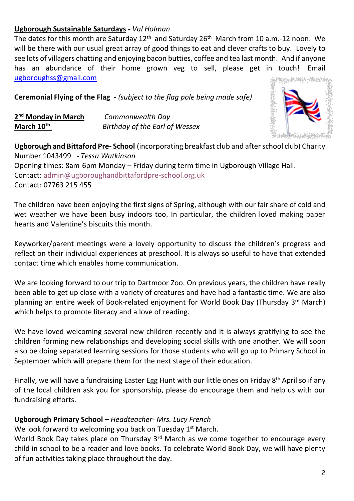## **Ugborough Sustainable Saturdays -** *Val Holman*

The dates for this month are Saturday  $12^{th}$  and Saturday 26<sup>th</sup> March from 10 a.m.-12 noon. We will be there with our usual great array of good things to eat and clever crafts to buy. Lovely to see lots of villagers chatting and enjoying bacon butties, coffee and tea last month. And if anyone has an abundance of their home grown veg to sell, please get in touch! Email [ugboroughss@gmail.com](mailto:ugboroughss@gmail.com)

**Ceremonial Flying of the Flag** *- (subject to the flag pole being made safe)*

| 2 <sup>nd</sup> Monday in March | Commonwealth Day               |
|---------------------------------|--------------------------------|
| March 10 <sup>th</sup>          | Birthday of the Earl of Wessex |



**Ugborough and Bittaford Pre- School** (incorporating breakfast club and after school club) Charity Number 1043499 *- Tessa Watkinson* Opening times: 8am-6pm Monday – Friday during term time in Ugborough Village Hall. Contact: [admin@ugboroughandbittafordpre-school.org.uk](mailto:admin@ugboroughandbittafordpre-school.org.uk) Contact: 07763 215 455

The children have been enjoying the first signs of Spring, although with our fair share of cold and wet weather we have been busy indoors too. In particular, the children loved making paper hearts and Valentine's biscuits this month.

Keyworker/parent meetings were a lovely opportunity to discuss the children's progress and reflect on their individual experiences at preschool. It is always so useful to have that extended contact time which enables home communication.

We are looking forward to our trip to Dartmoor Zoo. On previous years, the children have really been able to get up close with a variety of creatures and have had a fantastic time. We are also planning an entire week of Book-related enjoyment for World Book Day (Thursday 3<sup>rd</sup> March) which helps to promote literacy and a love of reading.

We have loved welcoming several new children recently and it is always gratifying to see the children forming new relationships and developing social skills with one another. We will soon also be doing separated learning sessions for those students who will go up to Primary School in September which will prepare them for the next stage of their education.

Finally, we will have a fundraising Easter Egg Hunt with our little ones on Friday 8<sup>th</sup> April so if any of the local children ask you for sponsorship, please do encourage them and help us with our fundraising efforts.

# **Ugborough Primary School –** *Headteacher- Mrs. Lucy French*

We look forward to welcoming you back on Tuesday 1<sup>st</sup> March.

World Book Day takes place on Thursday  $3<sup>rd</sup>$  March as we come together to encourage every child in school to be a reader and love books. To celebrate World Book Day, we will have plenty of fun activities taking place throughout the day.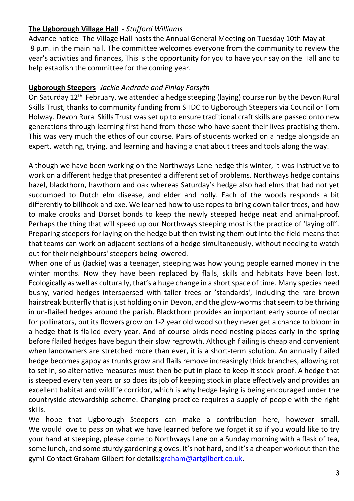## **The Ugborough Village Hall** - *Stafford Williams*

Advance notice- The Village Hall hosts the Annual General Meeting on Tuesday 10th May at 8 p.m. in the main hall. The committee welcomes everyone from the community to review the year's activities and finances, This is the opportunity for you to have your say on the Hall and to help establish the committee for the coming year.

## **Ugborough Steepers**- *Jackie Andrade and Finlay Forsyth*

On Saturday 12th February, we attended a hedge steeping (laying) course run by the Devon Rural Skills Trust, thanks to community funding from SHDC to Ugborough Steepers via Councillor Tom Holway. Devon Rural Skills Trust was set up to ensure traditional craft skills are passed onto new generations through learning first hand from those who have spent their lives practising them. This was very much the ethos of our course. Pairs of students worked on a hedge alongside an expert, watching, trying, and learning and having a chat about trees and tools along the way.

Although we have been working on the Northways Lane hedge this winter, it was instructive to work on a different hedge that presented a different set of problems. Northways hedge contains hazel, blackthorn, hawthorn and oak whereas Saturday's hedge also had elms that had not yet succumbed to Dutch elm disease, and elder and holly. Each of the woods responds a bit differently to billhook and axe. We learned how to use ropes to bring down taller trees, and how to make crooks and Dorset bonds to keep the newly steeped hedge neat and animal-proof. Perhaps the thing that will speed up our Northways steeping most is the practice of 'laying off'. Preparing steepers for laying on the hedge but then twisting them out into the field means that that teams can work on adjacent sections of a hedge simultaneously, without needing to watch out for their neighbours' steepers being lowered.

When one of us (Jackie) was a teenager, steeping was how young people earned money in the winter months. Now they have been replaced by flails, skills and habitats have been lost. Ecologically as well as culturally, that's a huge change in a short space of time. Many species need bushy, varied hedges interspersed with taller trees or 'standards', including the rare brown hairstreak butterfly that is just holding on in Devon, and the glow-worms that seem to be thriving in un-flailed hedges around the parish. Blackthorn provides an important early source of nectar for pollinators, but its flowers grow on 1-2 year old wood so they never get a chance to bloom in a hedge that is flailed every year. And of course birds need nesting places early in the spring before flailed hedges have begun their slow regrowth. Although flailing is cheap and convenient when landowners are stretched more than ever, it is a short-term solution. An annually flailed hedge becomes gappy as trunks grow and flails remove increasingly thick branches, allowing rot to set in, so alternative measures must then be put in place to keep it stock-proof. A hedge that is steeped every ten years or so does its job of keeping stock in place effectively and provides an excellent habitat and wildlife corridor, which is why hedge laying is being encouraged under the countryside stewardship scheme. Changing practice requires a supply of people with the right skills.

We hope that Ugborough Steepers can make a contribution here, however small. We would love to pass on what we have learned before we forget it so if you would like to try your hand at steeping, please come to Northways Lane on a Sunday morning with a flask of tea, some lunch, and some sturdy gardening gloves. It's not hard, and it's a cheaper workout than the gym! Contact Graham Gilbert for details[:graham@artgilbert.co.uk.](mailto:graham@artgilbert.co.uk)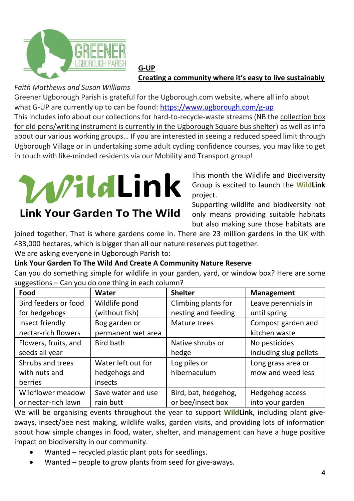

#### **G-UP Creating a community where it's easy to live sustainably**

# *Faith Matthews and Susan Williams*

Greener Ugborough Parish is grateful for the Ugborough.com website, where all info about what G-UP are currently up to can be found[: https://www.ugborough.com/g-up](https://www.ugborough.com/g-up) This includes info about our collections for hard-to-recycle-waste streams (NB the collection box for old pens/writing instrument is currently in the Ugborough Square bus shelter) as well as info about our various working groups… If you are interested in seeing a reduced speed limit through Ugborough Village or in undertaking some adult cycling confidence courses, you may like to get in touch with like-minded residents via our Mobility and Transport group!



# **Link Your Garden To The Wild**

# **Link Your Garden To The Wild And Create A Community Nature Reserve**

| We are asking everyone in Ugborough Parish to:     | WildLink<br><b>Link Your Garden To The Wild</b>          | project.<br>433,000 hectares, which is bigger than all our nature reserves put together.<br>Link Your Garden To The Wild And Create A Community Nature Reserve | This month the Wildlife and Biodiversity<br>Group is excited to launch the WildLink<br>Supporting wildlife and biodiversity not<br>only means providing suitable habitats<br>but also making sure those habitats are<br>joined together. That is where gardens come in. There are 23 million gardens in the UK with |
|----------------------------------------------------|----------------------------------------------------------|----------------------------------------------------------------------------------------------------------------------------------------------------------------|---------------------------------------------------------------------------------------------------------------------------------------------------------------------------------------------------------------------------------------------------------------------------------------------------------------------|
|                                                    |                                                          |                                                                                                                                                                | Can you do something simple for wildlife in your garden, yard, or window box? Here are some                                                                                                                                                                                                                         |
| suggestions - Can you do one thing in each column? |                                                          |                                                                                                                                                                |                                                                                                                                                                                                                                                                                                                     |
| Food                                               | Water                                                    | <b>Shelter</b>                                                                                                                                                 | Management                                                                                                                                                                                                                                                                                                          |
| Bird feeders or food                               | Wildlife pond                                            | Climbing plants for                                                                                                                                            | Leave perennials in                                                                                                                                                                                                                                                                                                 |
| for hedgehogs                                      | (without fish)                                           | nesting and feeding                                                                                                                                            | until spring                                                                                                                                                                                                                                                                                                        |
| Insect friendly                                    | Bog garden or                                            | Mature trees                                                                                                                                                   | Compost garden and                                                                                                                                                                                                                                                                                                  |
| nectar-rich flowers                                | permanent wet area                                       |                                                                                                                                                                | kitchen waste                                                                                                                                                                                                                                                                                                       |
| Flowers, fruits, and                               | Bird bath                                                | Native shrubs or                                                                                                                                               | No pesticides                                                                                                                                                                                                                                                                                                       |
| seeds all year                                     |                                                          | hedge                                                                                                                                                          | including slug pellets                                                                                                                                                                                                                                                                                              |
| Shrubs and trees                                   | Water left out for                                       | Log piles or                                                                                                                                                   | Long grass area or                                                                                                                                                                                                                                                                                                  |
| with nuts and                                      | hedgehogs and                                            | hibernaculum                                                                                                                                                   | mow and weed less                                                                                                                                                                                                                                                                                                   |
| berries                                            | insects                                                  |                                                                                                                                                                |                                                                                                                                                                                                                                                                                                                     |
| Wildflower meadow                                  | Save water and use                                       | Bird, bat, hedgehog,                                                                                                                                           | Hedgehog access                                                                                                                                                                                                                                                                                                     |
| or nectar-rich lawn                                | rain butt                                                | or bee/insect box                                                                                                                                              | into your garden                                                                                                                                                                                                                                                                                                    |
|                                                    |                                                          |                                                                                                                                                                | We will be organising events throughout the year to support <b>WildLink</b> , including plant give-                                                                                                                                                                                                                 |
|                                                    |                                                          |                                                                                                                                                                | aways, insect/bee nest making, wildlife walks, garden visits, and providing lots of information                                                                                                                                                                                                                     |
|                                                    |                                                          |                                                                                                                                                                | about how simple changes in food, water, shelter, and management can have a huge positive                                                                                                                                                                                                                           |
| impact on biodiversity in our community.           |                                                          |                                                                                                                                                                |                                                                                                                                                                                                                                                                                                                     |
|                                                    | Wanted – recycled plastic plant pots for seedlings.      |                                                                                                                                                                |                                                                                                                                                                                                                                                                                                                     |
|                                                    | Wanted - people to grow plants from seed for give-aways. |                                                                                                                                                                |                                                                                                                                                                                                                                                                                                                     |

- Wanted recycled plastic plant pots for seedlings.
-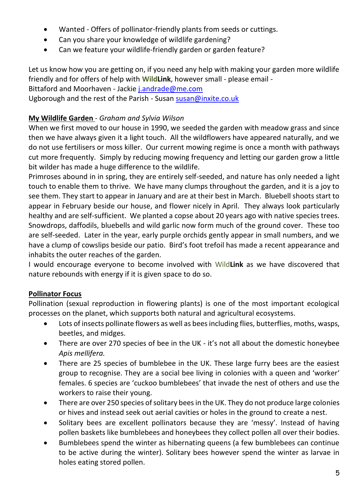- Wanted Offers of pollinator-friendly plants from seeds or cuttings.
- Can you share your knowledge of wildlife gardening?
- Can we feature your wildlife-friendly garden or garden feature?

Let us know how you are getting on, if you need any help with making your garden more wildlife friendly and for offers of help with **WildLink**, however small - please email -

# Bittaford and Moorhaven - Jacki[e j.andrade@me.com](mailto:j.andrade@me.com)

Ugborough and the rest of the Parish - Susan [susan@inxite.co.uk](mailto:susan@inxite.co.uk)

# **My Wildlife Garden** - *Graham and Sylvia Wilson*

When we first moved to our house in 1990, we seeded the garden with meadow grass and since then we have always given it a light touch. All the wildflowers have appeared naturally, and we do not use fertilisers or moss killer. Our current mowing regime is once a month with pathways cut more frequently. Simply by reducing mowing frequency and letting our garden grow a little bit wilder has made a huge difference to the wildlife.

Primroses abound in in spring, they are entirely self-seeded, and nature has only needed a light touch to enable them to thrive. We have many clumps throughout the garden, and it is a joy to see them. They start to appear in January and are at their best in March. Bluebell shoots start to appear in February beside our house, and flower nicely in April. They always look particularly healthy and are self-sufficient. We planted a copse about 20 years ago with native species trees. Snowdrops, daffodils, bluebells and wild garlic now form much of the ground cover. These too are self-seeded. Later in the year, early purple orchids gently appear in small numbers, and we have a clump of cowslips beside our patio. Bird's foot trefoil has made a recent appearance and inhabits the outer reaches of the garden.

I would encourage everyone to become involved with Wild**Link** as we have discovered that nature rebounds with energy if it is given space to do so.

# **Pollinator Focus**

Pollination (sexual reproduction in flowering plants) is one of the most important ecological processes on the planet, which supports both natural and agricultural ecosystems.

- Lots of insects pollinate flowers as well as bees including flies, butterflies, moths, wasps, beetles, and midges.
- There are over 270 species of bee in the UK it's not all about the domestic honeybee *Apis mellifera.*
- There are 25 species of bumblebee in the UK. These large furry bees are the easiest group to recognise. They are a social bee living in colonies with a queen and 'worker' females. 6 species are 'cuckoo bumblebees' that invade the nest of others and use the workers to raise their young.
- There are over 250 species of solitary bees in the UK. They do not produce large colonies or hives and instead seek out aerial cavities or holes in the ground to create a nest.
- Solitary bees are excellent pollinators because they are 'messy'. Instead of having pollen baskets like bumblebees and honeybees they collect pollen all over their bodies.
- Bumblebees spend the winter as hibernating queens (a few bumblebees can continue to be active during the winter). Solitary bees however spend the winter as larvae in holes eating stored pollen.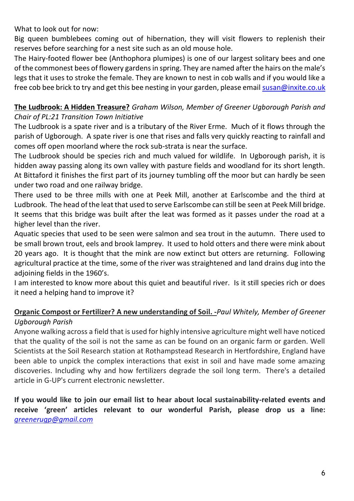What to look out for now:

Big queen bumblebees coming out of hibernation, they will visit flowers to replenish their reserves before searching for a nest site such as an old mouse hole.

The Hairy-footed flower bee (Anthophora plumipes) is one of our largest solitary bees and one of the commonest bees of flowery gardens in spring. They are named after the hairs on the male's legs that it uses to stroke the female. They are known to nest in cob walls and if you would like a free cob bee brick to try and get this bee nesting in your garden, please emai[l susan@inxite.co.uk](mailto:susan@inxite.co.uk)

#### **The Ludbrook: A Hidden Treasure?** *Graham Wilson, Member of Greener Ugborough Parish and Chair of PL:21 Transition Town Initiative*

The Ludbrook is a spate river and is a tributary of the River Erme. Much of it flows through the parish of Ugborough. A spate river is one that rises and falls very quickly reacting to rainfall and comes off open moorland where the rock sub-strata is near the surface.

The Ludbrook should be species rich and much valued for wildlife. In Ugborough parish, it is hidden away passing along its own valley with pasture fields and woodland for its short length. At Bittaford it finishes the first part of its journey tumbling off the moor but can hardly be seen under two road and one railway bridge.

There used to be three mills with one at Peek Mill, another at Earlscombe and the third at Ludbrook. The head of the leat that used to serve Earlscombe can still be seen at Peek Mill bridge. It seems that this bridge was built after the leat was formed as it passes under the road at a higher level than the river.

Aquatic species that used to be seen were salmon and sea trout in the autumn. There used to be small brown trout, eels and brook lamprey. It used to hold otters and there were mink about 20 years ago. It is thought that the mink are now extinct but otters are returning. Following agricultural practice at the time, some of the river was straightened and land drains dug into the adjoining fields in the 1960's.

I am interested to know more about this quiet and beautiful river. Is it still species rich or does it need a helping hand to improve it?

# **Organic Compost or Fertilizer? A new understanding of Soil. -***Paul Whitely, Member of Greener Ugborough Parish*

Anyone walking across a field that is used for highly intensive agriculture might well have noticed that the quality of the soil is not the same as can be found on an organic farm or garden. Well Scientists at the Soil Research station at Rothampstead Research in Hertfordshire, England have been able to unpick the complex interactions that exist in soil and have made some amazing discoveries. Including why and how fertilizers degrade the soil long term. There's a detailed article in G-UP's current electronic newsletter.

**If you would like to join our email list to hear about local sustainability-related events and receive 'green' articles relevant to our wonderful Parish, please drop us a line:**  *[greenerugp@gmail.com](mailto:greenerugp@gmail.com)*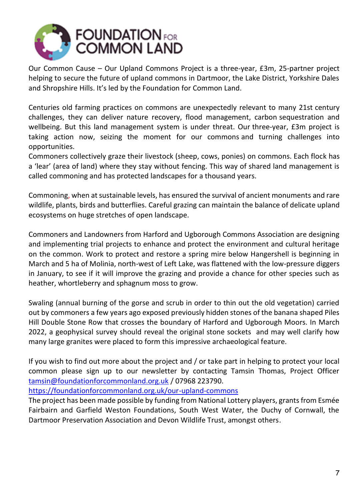

Our Common Cause – Our Upland Commons Project is a three-year, £3m, 25-partner project helping to secure the future of upland commons in Dartmoor, the Lake District, Yorkshire Dales and Shropshire Hills. It's led by the Foundation for Common Land.

Centuries old farming practices on commons are unexpectedly relevant to many 21st century challenges, they can deliver nature recovery, flood management, carbon sequestration and wellbeing. But this land management system is under threat. Our three-year, £3m project is taking action now, seizing the moment for our commons and turning challenges into opportunities.

Commoners collectively graze their livestock (sheep, cows, ponies) on commons. Each flock has a 'lear' (area of land) where they stay without fencing. This way of shared land management is called commoning and has protected landscapes for a thousand years.

Commoning, when at sustainable levels, has ensured the survival of ancient monuments and rare wildlife, plants, birds and butterflies. Careful grazing can maintain the balance of delicate upland ecosystems on huge stretches of open landscape.

Commoners and Landowners from Harford and Ugborough Commons Association are designing and implementing trial projects to enhance and protect the environment and cultural heritage on the common. Work to protect and restore a spring mire below Hangershell is beginning in March and 5 ha of Molinia, north-west of Left Lake, was flattened with the low-pressure diggers in January, to see if it will improve the grazing and provide a chance for other species such as heather, whortleberry and sphagnum moss to grow.

Swaling (annual burning of the gorse and scrub in order to thin out the old vegetation) carried out by commoners a few years ago exposed previously hidden stones of the banana shaped Piles Hill Double Stone Row that crosses the boundary of Harford and Ugborough Moors. In March 2022, a geophysical survey should reveal the original stone sockets and may well clarify how many large granites were placed to form this impressive archaeological feature.

If you wish to find out more about the project and / or take part in helping to protect your local common please sign up to our newsletter by contacting Tamsin Thomas, Project Officer [tamsin@foundationforcommonland.org.uk](mailto:tamsin@foundationforcommonland.org.uk) / 07968 223790.

[https://foundationforcommonland.org.uk/our-upland-commons](https://eur03.safelinks.protection.outlook.com/?url=https%3A%2F%2Ffoundationforcommonland.org.uk%2Four-upland-commons&data=04%7C01%7Crobert.hurrell%40environment-agency.gov.uk%7C9bc8752b954e451c176108d9f2198f2d%7C770a245002274c6290c74e38537f1102%7C0%7C0%7C637807013862092843%7CUnknown%7CTWFpbGZsb3d8eyJWIjoiMC4wLjAwMDAiLCJQIjoiV2luMzIiLCJBTiI6Ik1haWwiLCJXVCI6Mn0%3D%7C3000&sdata=lkVAqqDw1l1jfIBB1iVG%2FbS7kBcweEictnAWFnQZ0ec%3D&reserved=0)

The project has been made possible by funding from National Lottery players, grants from Esmée Fairbairn and Garfield Weston Foundations, South West Water, the Duchy of Cornwall, the Dartmoor Preservation Association and Devon Wildlife Trust, amongst others.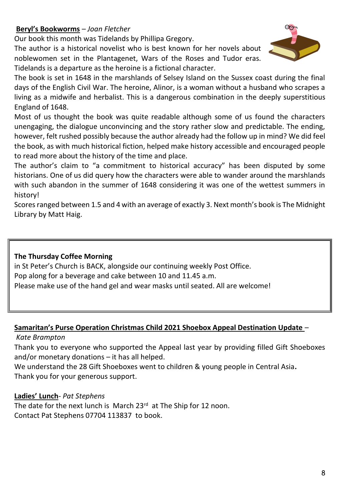# **Beryl's Bookworms** – *Joan Fletcher*

Our book this month was Tidelands by Phillipa Gregory.

The author is a historical novelist who is best known for her novels about noblewomen set in the Plantagenet, Wars of the Roses and Tudor eras. Tidelands is a departure as the heroine is a fictional character.



The book is set in 1648 in the marshlands of Selsey Island on the Sussex coast during the final days of the English Civil War. The heroine, Alinor, is a woman without a husband who scrapes a living as a midwife and herbalist. This is a dangerous combination in the deeply superstitious England of 1648.

Most of us thought the book was quite readable although some of us found the characters unengaging, the dialogue unconvincing and the story rather slow and predictable. The ending, however, felt rushed possibly because the author already had the follow up in mind? We did feel the book, as with much historical fiction, helped make history accessible and encouraged people to read more about the history of the time and place.

The author's claim to "a commitment to historical accuracy" has been disputed by some historians. One of us did query how the characters were able to wander around the marshlands with such abandon in the summer of 1648 considering it was one of the wettest summers in history!

Scores ranged between 1.5 and 4 with an average of exactly 3. Next month's book is The Midnight Library by Matt Haig.

#### **The Thursday Coffee Morning**

in St Peter's Church is BACK, alongside our continuing weekly Post Office. Pop along for a beverage and cake between 10 and 11.45 a.m. Please make use of the hand gel and wear masks until seated. All are welcome!

#### **Samaritan's Purse Operation Christmas Child 2021 Shoebox Appeal Destination Update** –

*Kate Brampton*

Thank you to everyone who supported the Appeal last year by providing filled Gift Shoeboxes and/or monetary donations – it has all helped.

We understand the 28 Gift Shoeboxes went to children & young people in Central Asia**.** Thank you for your generous support.

#### **Ladies' Lunch***- Pat Stephens*

The date for the next lunch is March  $23<sup>rd</sup>$  at The Ship for 12 noon. Contact Pat Stephens 07704 113837 to book.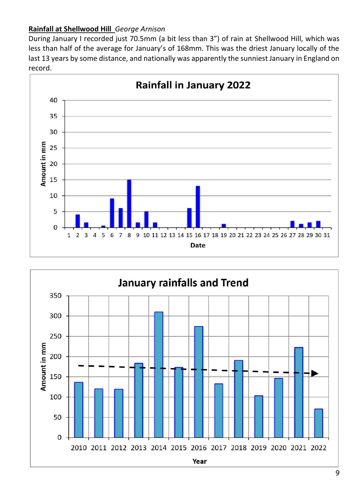# **Rainfall at Shellwood Hill** *George Arnison*

During January I recorded just 70.5mm (a bit less than 3") of rain at Shellwood Hill, which was less than half of the average for January's of 168mm. This was the driest January locally of the last 13 years by some distance, and nationally was apparently the sunniest January in England on record.



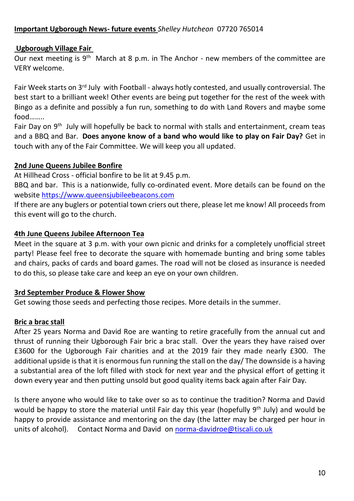#### **Important Ugborough News- future events** *Shelley Hutcheon* 07720 765014

#### **Ugborough Village Fair**

Our next meeting is  $9<sup>th</sup>$  March at 8 p.m. in The Anchor - new members of the committee are VERY welcome.

Fair Week starts on 3<sup>rd</sup> July with Football - always hotly contested, and usually controversial. The best start to a brilliant week! Other events are being put together for the rest of the week with Bingo as a definite and possibly a fun run, something to do with Land Rovers and maybe some food……..

Fair Day on 9<sup>th</sup> July will hopefully be back to normal with stalls and entertainment, cream teas and a BBQ and Bar. **Does anyone know of a band who would like to play on Fair Day?** Get in touch with any of the Fair Committee. We will keep you all updated.

#### **2nd June Queens Jubilee Bonfire**

At Hillhead Cross - official bonfire to be lit at 9.45 p.m.

BBQ and bar. This is a nationwide, fully co-ordinated event. More details can be found on the website [https://www.queensjubileebeacons.com](https://www.queensjubileebeacons.com/)

If there are any buglers or potential town criers out there, please let me know! All proceeds from this event will go to the church.

#### **4th June Queens Jubilee Afternoon Tea**

Meet in the square at 3 p.m. with your own picnic and drinks for a completely unofficial street party! Please feel free to decorate the square with homemade bunting and bring some tables and chairs, packs of cards and board games. The road will not be closed as insurance is needed to do this, so please take care and keep an eye on your own children.

#### **3rd September Produce & Flower Show**

Get sowing those seeds and perfecting those recipes. More details in the summer.

#### **Bric a brac stall**

After 25 years Norma and David Roe are wanting to retire gracefully from the annual cut and thrust of running their Ugborough Fair bric a brac stall. Over the years they have raised over £3600 for the Ugborough Fair charities and at the 2019 fair they made nearly £300. The additional upside is that it is enormous fun running the stall on the day/ The downside is a having a substantial area of the loft filled with stock for next year and the physical effort of getting it down every year and then putting unsold but good quality items back again after Fair Day.

Is there anyone who would like to take over so as to continue the tradition? Norma and David would be happy to store the material until Fair day this year (hopefully  $9<sup>th</sup>$  July) and would be happy to provide assistance and mentoring on the day (the latter may be charged per hour in units of alcohol). Contact Norma and David o[n norma-davidroe@tiscali.co.uk](mailto:norma-davidroe@tiscali.co.uk)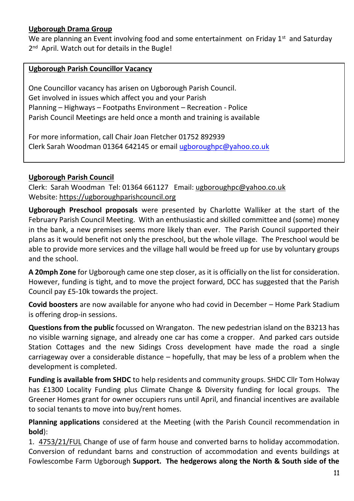# **Ugborough Drama Group**

We are planning an Event involving food and some entertainment on Friday  $1<sup>st</sup>$  and Saturday 2<sup>nd</sup> April. Watch out for details in the Bugle!

#### **Ugborough Parish Councillor Vacancy**

One Councillor vacancy has arisen on Ugborough Parish Council. Get involved in issues which affect you and your Parish Planning – Highways – Footpaths Environment – Recreation - Police Parish Council Meetings are held once a month and training is available

For more information, call Chair Joan Fletcher 01752 892939 Clerk Sarah Woodman 01364 642145 or emai[l ugboroughpc@yahoo.co.uk](mailto:ugboroughpc@yahoo.co.uk)

#### **Ugborough Parish Council**

Clerk: Sarah Woodman Tel: 01364 661127 Email: [ugboroughpc@yahoo.co.uk](file:///C:/Users/User/Documents/newsletter/ugboroughpc@yahoo.co.uk) Website[: https://ugboroughparishcouncil.org](https://ugboroughparishcouncil.org/)

**Ugborough Preschool proposals** were presented by Charlotte Walliker at the start of the February Parish Council Meeting. With an enthusiastic and skilled committee and (some) money in the bank, a new premises seems more likely than ever. The Parish Council supported their plans as it would benefit not only the preschool, but the whole village. The Preschool would be able to provide more services and the village hall would be freed up for use by voluntary groups and the school.

**A 20mph Zone** for Ugborough came one step closer, as it is officially on the list for consideration. However, funding is tight, and to move the project forward, DCC has suggested that the Parish Council pay £5-10k towards the project.

**Covid boosters** are now available for anyone who had covid in December – Home Park Stadium is offering drop-in sessions.

**Questions from the public** focussed on Wrangaton. The new pedestrian island on the B3213 has no visible warning signage, and already one car has come a cropper. And parked cars outside Station Cottages and the new Sidings Cross development have made the road a single carriageway over a considerable distance – hopefully, that may be less of a problem when the development is completed.

**Funding is available from SHDC** to help residents and community groups. SHDC Cllr Tom Holway has £1300 Locality Funding plus Climate Change & Diversity funding for local groups. The Greener Homes grant for owner occupiers runs until April, and financial incentives are available to social tenants to move into buy/rent homes.

**Planning applications** considered at the Meeting (with the Parish Council recommendation in **bold**):

1. [4753/21/FUL](http://apps.southhams.gov.uk/PlanningSearchMVC/Home/Details/214753) Change of use of farm house and converted barns to holiday accommodation. Conversion of redundant barns and construction of accommodation and events buildings at Fowlescombe Farm Ugborough **Support. The hedgerows along the North & South side of the**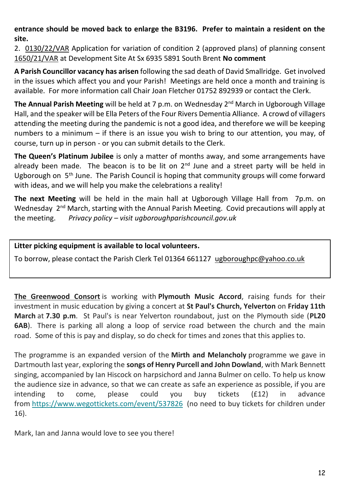**entrance should be moved back to enlarge the B3196. Prefer to maintain a resident on the site.**

2. [0130/22/VAR](http://apps.southhams.gov.uk/PlanningSearchMVC/Home/Details/220130) Application for variation of condition 2 (approved plans) of planning consent [1650/21/VAR](http://apps.southhams.gov.uk/PlanningSearchMVC/Home/Details/211650) at Development Site At Sx 6935 5891 South Brent **No comment**

**A Parish Councillor vacancy has arisen** following the sad death of David Smallridge. Get involved in the issues which affect you and your Parish! Meetings are held once a month and training is available. For more information call Chair Joan Fletcher 01752 892939 or contact the Clerk.

**The Annual Parish Meeting** will be held at 7 p.m. on Wednesday 2<sup>nd</sup> March in Ugborough Village Hall, and the speaker will be Ella Peters of the Four Rivers Dementia Alliance. A crowd of villagers attending the meeting during the pandemic is not a good idea, and therefore we will be keeping numbers to a minimum – if there is an issue you wish to bring to our attention, you may, of course, turn up in person - or you can submit details to the Clerk.

**The Queen's Platinum Jubilee** is only a matter of months away, and some arrangements have already been made. The beacon is to be lit on  $2<sup>nd</sup>$  June and a street party will be held in Ugborough on 5th June. The Parish Council is hoping that community groups will come forward with ideas, and we will help you make the celebrations a reality!

**The next Meeting** will be held in the main hall at Ugborough Village Hall from 7p.m. on Wednesday 2<sup>nd</sup> March, starting with the Annual Parish Meeting. Covid precautions will apply at the meeting. *Privacy policy – visit ugboroughparishcouncil.gov.uk*

**Litter picking equipment is available to local volunteers.** 

To borrow, please contact the Parish Clerk Tel 01364 661127 [ugboroughpc@yahoo.co.uk](mailto:ugboroughpc@yahoo.co.uk)

**The Greenwood Consort** is working with **Plymouth Music Accord**, raising funds for their investment in music education by giving a concert at **St Paul's Church, Yelverton** on **Friday 11th March** at **7.30 p.m**. St Paul's is near Yelverton roundabout, just on the Plymouth side (**PL20 6AB**). There is parking all along a loop of service road between the church and the main road. Some of this is pay and display, so do check for times and zones that this applies to.

The programme is an expanded version of the **Mirth and Melancholy** programme we gave in Dartmouth last year, exploring the **songs of Henry Purcell and John Dowland**, with Mark Bennett singing, accompanied by Ian Hiscock on harpsichord and Janna Bulmer on cello. To help us know the audience size in advance, so that we can create as safe an experience as possible, if you are intending to come, please could you buy tickets (£12) in advance from [https://www.wegottickets.com/event/537826](https://mail.us19.list-manage.com/track/click?u=ff38e3e885ad033dd2652faf9&id=fb40269e69&e=3e484b6d59) (no need to buy tickets for children under 16).

Mark, Ian and Janna would love to see you there!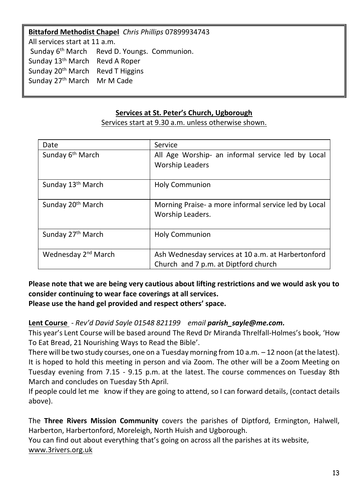#### **Bittaford Methodist Chapel** *Chris Phillips* 07899934743

All services start at 11 a.m. Sunday 6<sup>th</sup> March Revd D. Youngs. Communion. Sunday 13<sup>th</sup> March Revd A Roper Sunday 20th March Revd T Higgins Sunday 27<sup>th</sup> March Mr M Cade

#### **Services at St. Peter's Church, Ugborough**

| Date                            | Service                                                                                    |
|---------------------------------|--------------------------------------------------------------------------------------------|
| Sunday 6 <sup>th</sup> March    | All Age Worship- an informal service led by Local<br><b>Worship Leaders</b>                |
| Sunday 13 <sup>th</sup> March   | <b>Holy Communion</b>                                                                      |
| Sunday 20 <sup>th</sup> March   | Morning Praise- a more informal service led by Local<br>Worship Leaders.                   |
| Sunday 27 <sup>th</sup> March   | <b>Holy Communion</b>                                                                      |
| Wednesday 2 <sup>nd</sup> March | Ash Wednesday services at 10 a.m. at Harbertonford<br>Church and 7 p.m. at Diptford church |

Services start at 9.30 a.m. unless otherwise shown.

# **Please note that we are being very cautious about lifting restrictions and we would ask you to consider continuing to wear face coverings at all services.**

**Please use the hand gel provided and respect others' space.**

# **Lent Course** - *Rev'd David Sayle 01548 821199 email [parish\\_sayle@me.com.](mailto:parish_sayle@me.com)*

This year's Lent Course will be based around The Revd Dr Miranda Threlfall-Holmes's book, 'How To Eat Bread, 21 Nourishing Ways to Read the Bible'.

There will be two study courses, one on a Tuesday morning from 10 a.m. – 12 noon (at the latest). It is hoped to hold this meeting in person and via Zoom. The other will be a Zoom Meeting on Tuesday evening from 7.15 - 9.15 p.m. at the latest. The course commences on Tuesday 8th March and concludes on Tuesday 5th April.

If people could let me know if they are going to attend, so I can forward details, (contact details above).

The **Three Rivers Mission Community** covers the parishes of Diptford, Ermington, Halwell, Harberton, Harbertonford, Moreleigh, North Huish and Ugborough.

You can find out about everything that's going on across all the parishes at its website, [www.3rivers.org.uk](http://www.3rivers.org.uk/)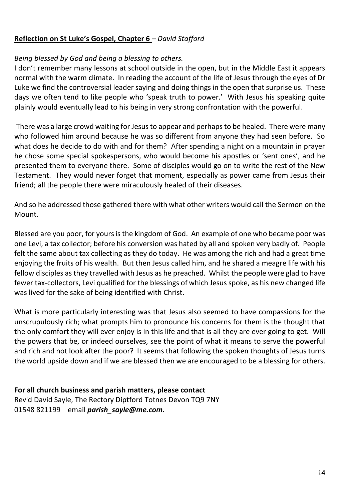#### **Reflection on St Luke's Gospel, Chapter 6** *– David Stafford*

#### *Being blessed by God and being a blessing to others.*

I don't remember many lessons at school outside in the open, but in the Middle East it appears normal with the warm climate. In reading the account of the life of Jesus through the eyes of Dr Luke we find the controversial leader saying and doing things in the open that surprise us. These days we often tend to like people who 'speak truth to power.' With Jesus his speaking quite plainly would eventually lead to his being in very strong confrontation with the powerful.

There was a large crowd waiting for Jesus to appear and perhaps to be healed. There were many who followed him around because he was so different from anyone they had seen before. So what does he decide to do with and for them? After spending a night on a mountain in prayer he chose some special spokespersons, who would become his apostles or 'sent ones', and he presented them to everyone there. Some of disciples would go on to write the rest of the New Testament. They would never forget that moment, especially as power came from Jesus their friend; all the people there were miraculously healed of their diseases.

And so he addressed those gathered there with what other writers would call the Sermon on the Mount.

Blessed are you poor, for yours is the kingdom of God. An example of one who became poor was one Levi, a tax collector; before his conversion was hated by all and spoken very badly of. People felt the same about tax collecting as they do today. He was among the rich and had a great time enjoying the fruits of his wealth. But then Jesus called him, and he shared a meagre life with his fellow disciples as they travelled with Jesus as he preached. Whilst the people were glad to have fewer tax-collectors, Levi qualified for the blessings of which Jesus spoke, as his new changed life was lived for the sake of being identified with Christ.

What is more particularly interesting was that Jesus also seemed to have compassions for the unscrupulously rich; what prompts him to pronounce his concerns for them is the thought that the only comfort they will ever enjoy is in this life and that is all they are ever going to get. Will the powers that be, or indeed ourselves, see the point of what it means to serve the powerful and rich and not look after the poor? It seems that following the spoken thoughts of Jesus turns the world upside down and if we are blessed then we are encouraged to be a blessing for others.

#### **For all church business and parish matters, please contact**

Rev'd David Sayle, The Rectory Diptford Totnes Devon TQ9 7NY 01548 821199 email *[parish\\_sayle@me.com.](mailto:parish_sayle@me.com)*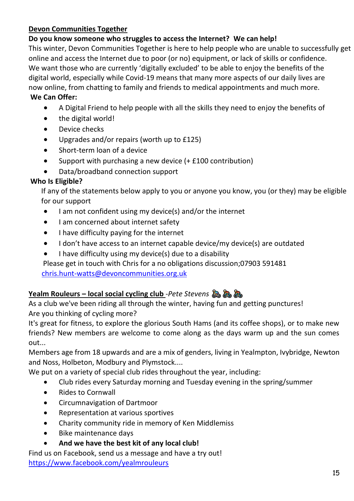# **Devon Communities Together**

# **Do you know someone who struggles to access the Internet? We can help!**

This winter, Devon Communities Together is here to help people who are unable to successfully get online and access the Internet due to poor (or no) equipment, or lack of skills or confidence. We want those who are currently 'digitally excluded' to be able to enjoy the benefits of the digital world, especially while Covid-19 means that many more aspects of our daily lives are now online, from chatting to family and friends to medical appointments and much more.

## **We Can Offer:**

- A Digital Friend to help people with all the skills they need to enjoy the benefits of
- the digital world!
- Device checks
- Upgrades and/or repairs (worth up to £125)
- Short-term loan of a device
- Support with purchasing a new device (+ £100 contribution)
- Data/broadband connection support

# **Who Is Eligible?**

 If any of the statements below apply to you or anyone you know, you (or they) may be eligible for our support

- I am not confident using my device(s) and/or the internet
- I am concerned about internet safety
- I have difficulty paying for the internet
- I don't have access to an internet capable device/my device(s) are outdated
- I have difficulty using my device(s) due to a disability

 Please get in touch with Chris for a no obligations discussion;07903 591481 [chris.hunt-watts@devoncommunities.org.uk](mailto:chris.hunt-watts@devoncommunities.org.uk)

# **Yealm Rouleurs – local social cycling club** -*Pete Stevens*

As a club we've been riding all through the winter, having fun and getting punctures! Are you thinking of cycling more?

It's great for fitness, to explore the glorious South Hams (and its coffee shops), or to make new friends? New members are welcome to come along as the days warm up and the sun comes out...

Members age from 18 upwards and are a mix of genders, living in Yealmpton, Ivybridge, Newton and Noss, Holbeton, Modbury and Plymstock....

We put on a variety of special club rides throughout the year, including:

- Club rides every Saturday morning and Tuesday evening in the spring/summer
- Rides to Cornwall
- Circumnavigation of Dartmoor
- Representation at various sportives
- Charity community ride in memory of Ken Middlemiss
- Bike maintenance days
- **And we have the best kit of any local club!**

Find us on Facebook, send us a message and have a try out! <https://www.facebook.com/yealmrouleurs>